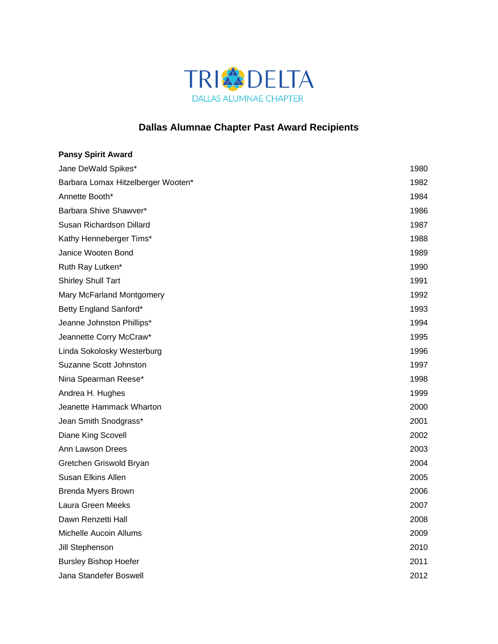

## **Dallas Alumnae Chapter Past Award Recipients**

| <b>Pansy Spirit Award</b>          |      |
|------------------------------------|------|
| Jane DeWald Spikes*                | 1980 |
| Barbara Lomax Hitzelberger Wooten* | 1982 |
| Annette Booth*                     | 1984 |
| Barbara Shive Shawver*             | 1986 |
| Susan Richardson Dillard           | 1987 |
| Kathy Henneberger Tims*            | 1988 |
| Janice Wooten Bond                 | 1989 |
| Ruth Ray Lutken*                   | 1990 |
| <b>Shirley Shull Tart</b>          | 1991 |
| Mary McFarland Montgomery          | 1992 |
| Betty England Sanford*             | 1993 |
| Jeanne Johnston Phillips*          | 1994 |
| Jeannette Corry McCraw*            | 1995 |
| Linda Sokolosky Westerburg         | 1996 |
| Suzanne Scott Johnston             | 1997 |
| Nina Spearman Reese*               | 1998 |
| Andrea H. Hughes                   | 1999 |
| Jeanette Hammack Wharton           | 2000 |
| Jean Smith Snodgrass*              | 2001 |
| Diane King Scovell                 | 2002 |
| Ann Lawson Drees                   | 2003 |
| Gretchen Griswold Bryan            | 2004 |
| <b>Susan Elkins Allen</b>          | 2005 |
| <b>Brenda Myers Brown</b>          | 2006 |
| Laura Green Meeks                  | 2007 |
| Dawn Renzetti Hall                 | 2008 |
| Michelle Aucoin Allums             | 2009 |
| Jill Stephenson                    | 2010 |
| <b>Bursley Bishop Hoefer</b>       | 2011 |
| Jana Standefer Boswell             | 2012 |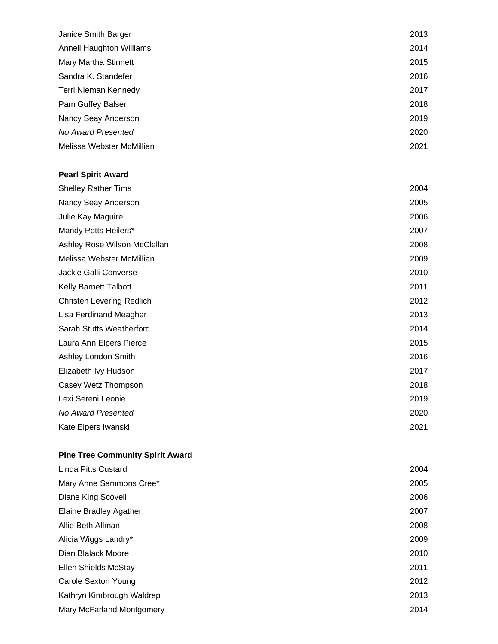| Janice Smith Barger             | 2013 |
|---------------------------------|------|
| <b>Annell Haughton Williams</b> | 2014 |
| Mary Martha Stinnett            | 2015 |
| Sandra K. Standefer             | 2016 |
| Terri Nieman Kennedy            | 2017 |
| Pam Guffey Balser               | 2018 |
| Nancy Seay Anderson             | 2019 |
| No Award Presented              | 2020 |
| Melissa Webster McMillian       | 2021 |
|                                 |      |

## **Pearl Spirit Award**

| <b>Shelley Rather Tims</b>       | 2004 |
|----------------------------------|------|
| Nancy Seay Anderson              | 2005 |
| Julie Kay Maguire                | 2006 |
| Mandy Potts Heilers*             | 2007 |
| Ashley Rose Wilson McClellan     | 2008 |
| Melissa Webster McMillian        | 2009 |
| Jackie Galli Converse            | 2010 |
| <b>Kelly Barnett Talbott</b>     | 2011 |
| <b>Christen Levering Redlich</b> | 2012 |
| Lisa Ferdinand Meagher           | 2013 |
| Sarah Stutts Weatherford         | 2014 |
| Laura Ann Elpers Pierce          | 2015 |
| Ashley London Smith              | 2016 |
| Elizabeth Ivy Hudson             | 2017 |
| Casey Wetz Thompson              | 2018 |
| Lexi Sereni Leonie               | 2019 |
| No Award Presented               | 2020 |
| Kate Elpers Iwanski              | 2021 |

## **Pine Tree Community Spirit Award**

| Linda Pitts Custard           | 2004 |
|-------------------------------|------|
| Mary Anne Sammons Cree*       | 2005 |
| Diane King Scovell            | 2006 |
| <b>Elaine Bradley Agather</b> | 2007 |
| Allie Beth Allman             | 2008 |
| Alicia Wiggs Landry*          | 2009 |
| Dian Blalack Moore            | 2010 |
| Ellen Shields McStay          | 2011 |
| Carole Sexton Young           | 2012 |
| Kathryn Kimbrough Waldrep     | 2013 |
| Mary McFarland Montgomery     | 2014 |